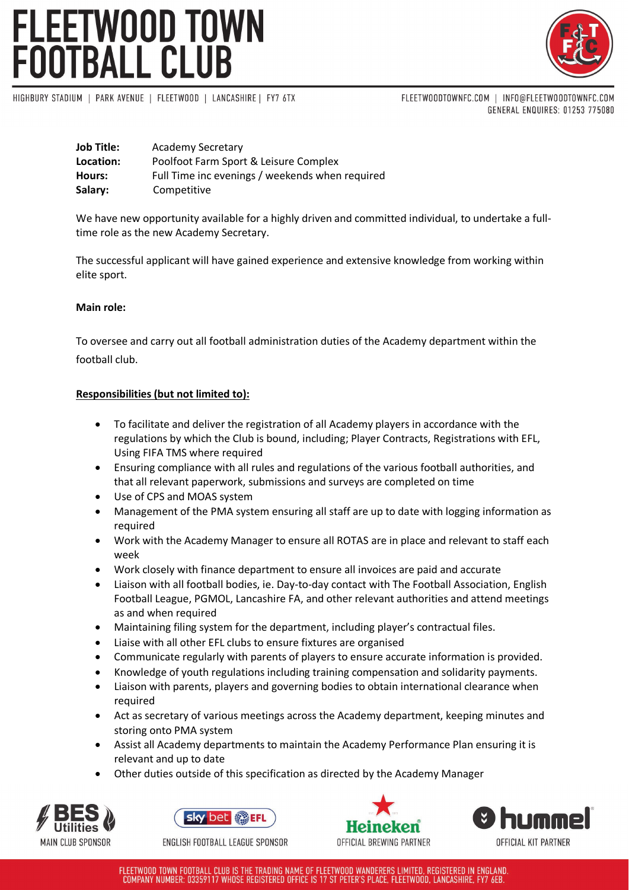# FLEETWOOD TOWN<br>FOOTBALL CLUB



HIGHBURY STADIUM | PARK AVENUE | FLEETWOOD | LANCASHIRE | FY7 6TX

FLEETWOODTOWNFC.COM | INFO@FLEETWOODTOWNFC.COM GENERAL ENQUIRES: 01253 775080

| <b>Job Title:</b> | Academy Secretary                               |
|-------------------|-------------------------------------------------|
| Location:         | Poolfoot Farm Sport & Leisure Complex           |
| Hours:            | Full Time inc evenings / weekends when required |
| Salary:           | Competitive                                     |

We have new opportunity available for a highly driven and committed individual, to undertake a fulltime role as the new Academy Secretary.

The successful applicant will have gained experience and extensive knowledge from working within elite sport.

# **Main role:**

To oversee and carry out all football administration duties of the Academy department within the football club.

# **Responsibilities (but not limited to):**

- To facilitate and deliver the registration of all Academy players in accordance with the regulations by which the Club is bound, including; Player Contracts, Registrations with EFL, Using FIFA TMS where required
- Ensuring compliance with all rules and regulations of the various football authorities, and that all relevant paperwork, submissions and surveys are completed on time
- Use of CPS and MOAS system
- Management of the PMA system ensuring all staff are up to date with logging information as required
- Work with the Academy Manager to ensure all ROTAS are in place and relevant to staff each week
- Work closely with finance department to ensure all invoices are paid and accurate
- Liaison with all football bodies, ie. Day-to-day contact with The Football Association, English Football League, PGMOL, Lancashire FA, and other relevant authorities and attend meetings as and when required
- Maintaining filing system for the department, including player's contractual files.
- Liaise with all other EFL clubs to ensure fixtures are organised
- Communicate regularly with parents of players to ensure accurate information is provided.
- Knowledge of youth regulations including training compensation and solidarity payments.
- Liaison with parents, players and governing bodies to obtain international clearance when required
- Act as secretary of various meetings across the Academy department, keeping minutes and storing onto PMA system
- Assist all Academy departments to maintain the Academy Performance Plan ensuring it is relevant and up to date
- Other duties outside of this specification as directed by the Academy Manager





ENGLISH FOOTBALL LEAGUE SPONSOR